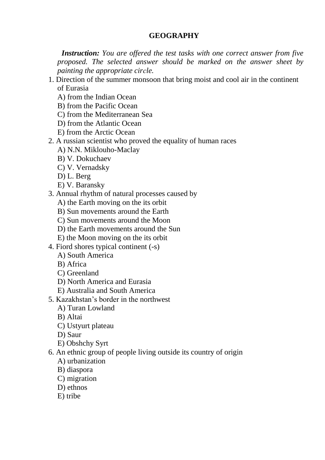# **GEOGRAPHY**

 *Instruction: You are offered the test tasks with one correct answer from five proposed. The selected answer should be marked on the answer sheet by painting the appropriate cirсle.*

- 1. Direction of the summer monsoon that bring moist and cool air in the continent of Eurasia
	- A) from the Indian Ocean
	- B) from the Pacific Ocean
	- C) from the Mediterranean Sea
	- D) from the Atlantic Ocean
	- E) from the Arctic Ocean
- 2. A russian scientist who proved the equality of human races
	- A) N.N. Miklouho-Maclay
	- B) V. Dokuchaev
	- C) V. Vernadsky
	- D) L. Berg
	- E) V. Baransky
- 3. Annual rhythm of natural processes caused by
	- A) the Earth moving on the its orbit
	- B) Sun movements around the Earth
	- C) Sun movements around the Moon
	- D) the Earth movements around the Sun
	- E) the Moon moving on the its orbit
- 4. Fiord shores typical continent (-s)
	- A) South America
	- B) Africa
	- C) Greenland
	- D) North America and Eurasia
	- E) Australia and South America
- 5. Kazakhstan's border in the northwest
	- A) Turan Lowland
	- B) Altai
	- C) Ustyurt plateau
	- D) Saur
	- E) Obshchy Syrt
- 6. An ethnic group of people living outside its country of origin
	- A) urbanization
	- B) diaspora
	- C) migration
	- D) ethnos
	- E) tribe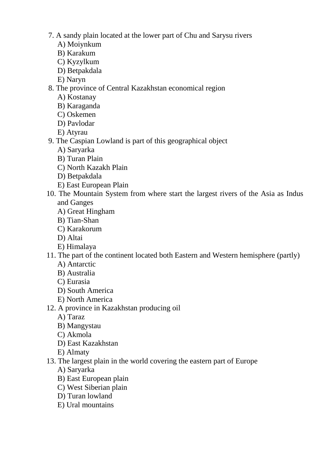- 7. A sandy plain located at the lower part of Chu and Sarysu rivers
	- A) Moiynkum
	- B) Karakum
	- C) Kyzylkum
	- D) Betpakdala
	- E) Naryn
- 8. The province of Central Kazakhstan economical region
	- A) Kostanay
	- B) Karaganda
	- C) Oskemen
	- D) Pavlodar
	- E) Atyrau
- 9. The Caspian Lowland is part of this geographical object
	- A) Saryarka
	- B) Turan Plain
	- C) North Kazakh Plain
	- D) Betpakdala
	- E) East European Plain
- 10. The Mountain System from where start the largest rivers of the Asia as Indus and Ganges
	- A) Great Hingham
	- B) Tian-Shan
	- C) Karakorum
	- D) Altai
	- E) Himalaya
- 11. The part of the continent located both Eastern and Western hemisphere (partly)
	- A) Antarctic
	- B) Australia
	- C) Eurasia
	- D) South America
	- E) North America
- 12. A province in Kazakhstan producing oil
	- A) Taraz
	- B) Mangystau
	- C) Akmola
	- D) East Kazakhstan
	- E) Almaty
- 13. The largest plain in the world covering the eastern part of Europe
	- A) Saryarka
	- B) East European plain
	- C) West Siberian plain
	- D) Turan lowland
	- E) Ural mountains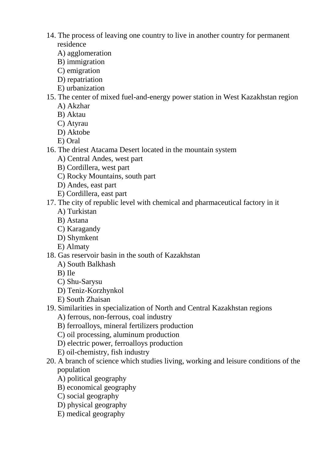- 14. The process of leaving one country to live in another country for permanent residence
	- A) agglomeration
	- B) immigration
	- C) emigration
	- D) repatriation
	- E) urbanization
- 15. The center of mixed fuel-and-energy power station in West Kazakhstan region
	- A) Akzhar
	- B) Aktau
	- C) Atyrau
	- D) Aktobe
	- E) Oral
- 16. The driest Atacama Desert located in the mountain system
	- A) Central Andes, west part
	- B) Cordillera, west part
	- C) Rocky Mountains, south part
	- D) Andes, east part
	- E) Cordillera, east part
- 17. The city of republic level with chemical and pharmaceutical factory in it
	- A) Turkistan
	- B) Astana
	- C) Karagandy
	- D) Shymkent
	- E) Almaty
- 18. Gas reservoir basin in the south of Kazakhstan
	- A) South Balkhash
	- B) Ile
	- C) Shu-Sarysu
	- D) Teniz-Korzhynkol
	- E) South Zhaisan
- 19. Similarities in specialization of North and Central Kazakhstan regions
	- A) ferrous, non-ferrous, coal industry
	- B) ferroalloys, mineral fertilizers production
	- C) oil processing, aluminum production
	- D) electric power, ferroalloys production
	- E) oil-chemistry, fish industry
- 20. A branch of science which studies living, working and leisure conditions of the population
	- A) political geography
	- B) economical geography
	- C) social geography
	- D) physical geography
	- E) medical geography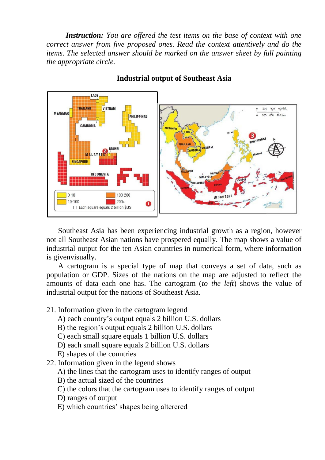*Instruction: You are offered the test items on the base of context with one correct answer from five proposed ones. Read the context attentively and do the items. The selected answer should be marked on the answer sheet by full painting the appropriate circle.*



### **Industrial output of Southeast Asia**

Southeast Asia has been experiencing industrial growth as a region, however not all Southeast Asian nations have prospered equally. The map shows a value of industrial output for the ten Asian countries in numerical form, where information is givenvisually.

A cartogram is a special type of map that conveys a set of data, such as population or GDP. Sizes of the nations on the map are adjusted to reflect the amounts of data each one has. The cartogram (*to the left*) shows the value of industrial output for the nations of Southeast Asia.

- 21. Information given in the cartogram legend
	- A) each country's output equals 2 billion U.S. dollars
	- B) the region's output equals 2 billion U.S. dollars
	- C) each small square equals 1 billion U.S. dollars
	- D) each small square equals 2 billion U.S. dollars
	- E) shapes of the countries
- 22. Information given in the legend shows
	- A) the lines that the cartogram uses to identify ranges of output
	- B) the actual sized of the countries
	- C) the colors that the cartogram uses to identify ranges of output
	- D) ranges of output
	- E) which countries' shapes being alterered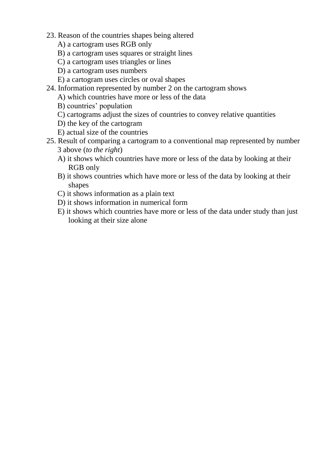- 23. Reason of the countries shapes being altered
	- A) a cartogram uses RGB only
	- B) a cartogram uses squares or straight lines
	- C) a cartogram uses triangles or lines
	- D) a cartogram uses numbers
	- E) a cartogram uses circles or oval shapes
- 24. Information represented by number 2 on the cartogram shows
	- A) which countries have more or less of the data
	- B) countries' population
	- C) cartograms adjust the sizes of countries to convey relative quantities
	- D) the key of the cartogram
	- E) actual size of the countries
- 25. Result of comparing a cartogram to a conventional map represented by number 3 above (*to the right*)
	- A) it shows which countries have more or less of the data by looking at their RGB only
	- B) it shows countries which have more or less of the data by looking at their shapes
	- C) it shows information as a plain text
	- D) it shows information in numerical form
	- E) it shows which countries have more or less of the data under study than just looking at their size alone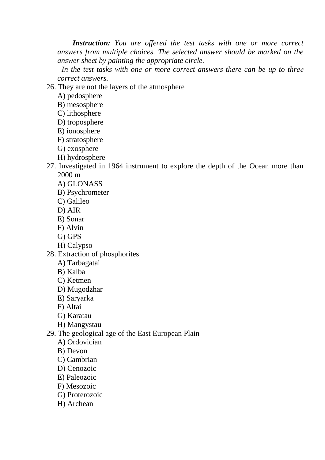*Instruction: You are offered the test tasks with one or more correct answers from multiple choices. The selected answer should be marked on the answer sheet by painting the appropriate circle.*

 *In the test tasks with one or more correct answers there can be up to threе correct answers.*

26. They are not the layers of the atmosphere

- A) pedosphere
- B) mesosphere
- C) lithosphere
- D) troposphere
- E) ionosphere
- F) stratosphere
- G) exosphere
- H) hydrosphere
- 27. Investigated in 1964 instrument to explore the depth of the Ocean more than 2000 m
	- A) GLONASS
	- B) Psychrometer
	- C) Galileo
	- D) AIR
	- E) Sonar
	- F) Alvin
	- G) GPS
	- H) Calypso
- 28. Extraction of phosphorites
	- A) Tarbagatai
	- B) Kalba
	- C) Ketmen
	- D) Mugodzhar
	- E) Saryarka
	- F) Altai
	- G) Karatau
	- H) Mangystau
- 29. The geological age of the East European Plain
	- A) Ordovician
	- B) Devon
	- C) Cambrian
	- D) Cenozoic
	- E) Paleozoic
	- F) Mesozoic
	- G) Proterozoic
	- H) Archean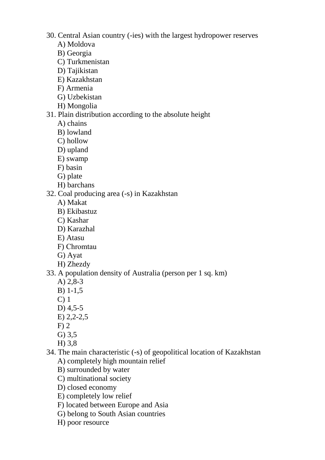- 30. Central Asian country (-ies) with the largest hydropower reserves
	- A) Moldova
	- B) Georgia
	- C) Turkmenistan
	- D) Tajikistan
	- E) Kazakhstan
	- F) Armenia
	- G) Uzbekistan
	- H) Mongolia

#### 31. Plain distribution according to the absolute height

- A) chains
- B) lowland
- C) hollow
- D) upland
- E) swamp
- F) basin
- G) plate
- H) barchans
- 32. Coal producing area (-s) in Kazakhstan
	- A) Makat
	- B) Ekibastuz
	- C) Kashar
	- D) Karazhal
	- E) Atasu
	- F) Сhromtau
	- G) Ayat
	- H) Zhezdy

## 33. A population density of Australia (person per 1 sq. km)

- A) 2,8-3
- B) 1-1,5
- C) 1
- D) 4,5-5
- E) 2,2-2,5
- F) 2
- G) 3,5
- H) 3,8
- 34. The main characteristic (-s) of geopolitical location of Kazakhstan A) completely high mountain relief
	- B) surrounded by water
	- C) multinational society
	- D) closed economy
	- E) completely low relief
	- F) located between Europe and Asia
	- G) belong to South Asian countries
	- H) poor resource